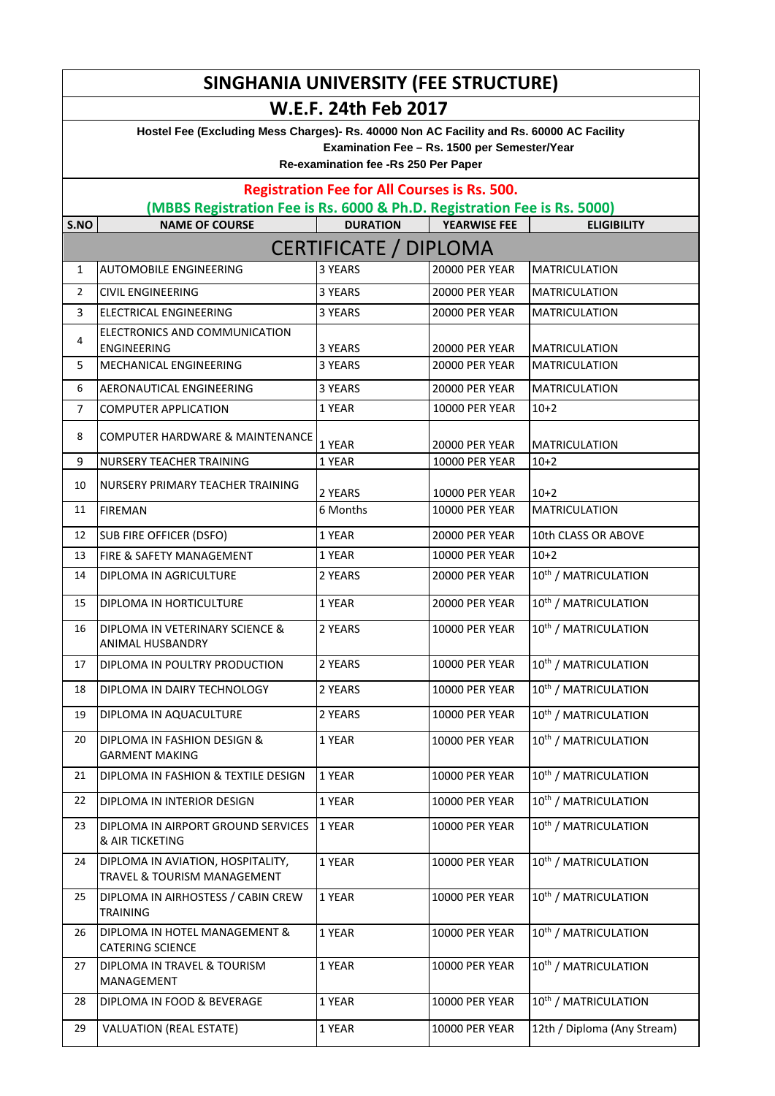|                | SINGHANIA UNIVERSITY (FEE STRUCTURE)                                                     |                                                                                      |                       |                                  |
|----------------|------------------------------------------------------------------------------------------|--------------------------------------------------------------------------------------|-----------------------|----------------------------------|
|                |                                                                                          | <b>W.E.F. 24th Feb 2017</b>                                                          |                       |                                  |
|                | Hostel Fee (Excluding Mess Charges)- Rs. 40000 Non AC Facility and Rs. 60000 AC Facility |                                                                                      |                       |                                  |
|                |                                                                                          | Examination Fee - Rs. 1500 per Semester/Year<br>Re-examination fee -Rs 250 Per Paper |                       |                                  |
|                |                                                                                          |                                                                                      |                       |                                  |
|                | (MBBS Registration Fee is Rs. 6000 & Ph.D. Registration Fee is Rs. 5000)                 | <b>Registration Fee for All Courses is Rs. 500.</b>                                  |                       |                                  |
| S.NO           | <b>NAME OF COURSE</b>                                                                    | <b>DURATION</b>                                                                      | <b>YEARWISE FEE</b>   | <b>ELIGIBILITY</b>               |
|                |                                                                                          | <b>CERTIFICATE / DIPLOMA</b>                                                         |                       |                                  |
| 1              | <b>AUTOMOBILE ENGINEERING</b>                                                            | 3 YEARS                                                                              | <b>20000 PER YEAR</b> | <b>MATRICULATION</b>             |
| $\overline{2}$ | <b>CIVIL ENGINEERING</b>                                                                 | 3 YEARS                                                                              | <b>20000 PER YEAR</b> | <b>MATRICULATION</b>             |
| 3              | <b>ELECTRICAL ENGINEERING</b>                                                            | 3 YEARS                                                                              | <b>20000 PER YEAR</b> | <b>MATRICULATION</b>             |
| 4              | ELECTRONICS AND COMMUNICATION<br><b>ENGINEERING</b>                                      | 3 YEARS                                                                              | <b>20000 PER YEAR</b> | <b>MATRICULATION</b>             |
| 5              | MECHANICAL ENGINEERING                                                                   | 3 YEARS                                                                              | <b>20000 PER YEAR</b> | <b>MATRICULATION</b>             |
| 6              | AERONAUTICAL ENGINEERING                                                                 | 3 YEARS                                                                              | <b>20000 PER YEAR</b> | <b>MATRICULATION</b>             |
| 7              | <b>COMPUTER APPLICATION</b>                                                              | 1 YEAR                                                                               | <b>10000 PER YEAR</b> | $10+2$                           |
| 8              | <b>COMPUTER HARDWARE &amp; MAINTENANCE</b>                                               | 1 YEAR                                                                               | <b>20000 PER YEAR</b> | <b>MATRICULATION</b>             |
| 9              | NURSERY TEACHER TRAINING                                                                 | 1 YEAR                                                                               | <b>10000 PER YEAR</b> | $10+2$                           |
| 10             | NURSERY PRIMARY TEACHER TRAINING                                                         | 2 YEARS                                                                              | <b>10000 PER YEAR</b> | $10+2$                           |
| 11             | <b>FIREMAN</b>                                                                           | 6 Months                                                                             | <b>10000 PER YEAR</b> | <b>MATRICULATION</b>             |
| 12             | <b>SUB FIRE OFFICER (DSFO)</b>                                                           | 1 YEAR                                                                               | <b>20000 PER YEAR</b> | 10th CLASS OR ABOVE              |
| 13             | FIRE & SAFETY MANAGEMENT                                                                 | 1 YEAR                                                                               | <b>10000 PER YEAR</b> | $10+2$                           |
| 14             | DIPLOMA IN AGRICULTURE                                                                   | 2 YEARS                                                                              | <b>20000 PER YEAR</b> | 10 <sup>th</sup> / MATRICULATION |
| 15             | DIPLOMA IN HORTICULTURE                                                                  | 1 YEAR                                                                               | <b>20000 PER YEAR</b> | 10 <sup>th</sup> / MATRICULATION |
| 16             | DIPLOMA IN VETERINARY SCIENCE &<br>ANIMAL HUSBANDRY                                      | 2 YEARS                                                                              | <b>10000 PER YEAR</b> | 10 <sup>th</sup> / MATRICULATION |
| 17             | DIPLOMA IN POULTRY PRODUCTION                                                            | 2 YEARS                                                                              | <b>10000 PER YEAR</b> | 10 <sup>th</sup> / MATRICULATION |
| 18             | DIPLOMA IN DAIRY TECHNOLOGY                                                              | 2 YEARS                                                                              | <b>10000 PER YEAR</b> | 10 <sup>th</sup> / MATRICULATION |
| 19             | DIPLOMA IN AQUACULTURE                                                                   | 2 YEARS                                                                              | <b>10000 PER YEAR</b> | 10 <sup>th</sup> / MATRICULATION |
| 20             | DIPLOMA IN FASHION DESIGN &<br><b>GARMENT MAKING</b>                                     | 1 YEAR                                                                               | <b>10000 PER YEAR</b> | 10 <sup>th</sup> / MATRICULATION |
| 21             | DIPLOMA IN FASHION & TEXTILE DESIGN                                                      | 1 YEAR                                                                               | <b>10000 PER YEAR</b> | 10 <sup>th</sup> / MATRICULATION |
| 22             | DIPLOMA IN INTERIOR DESIGN                                                               | 1 YEAR                                                                               | <b>10000 PER YEAR</b> | 10 <sup>th</sup> / MATRICULATION |
| 23             | DIPLOMA IN AIRPORT GROUND SERVICES<br>& AIR TICKETING                                    | 1 YEAR                                                                               | <b>10000 PER YEAR</b> | 10 <sup>th</sup> / MATRICULATION |
| 24             | DIPLOMA IN AVIATION, HOSPITALITY,<br>TRAVEL & TOURISM MANAGEMENT                         | 1 YEAR                                                                               | <b>10000 PER YEAR</b> | 10 <sup>th</sup> / MATRICULATION |
| 25             | DIPLOMA IN AIRHOSTESS / CABIN CREW<br><b>TRAINING</b>                                    | 1 YEAR                                                                               | <b>10000 PER YEAR</b> | 10 <sup>th</sup> / MATRICULATION |
| 26             | DIPLOMA IN HOTEL MANAGEMENT &<br><b>CATERING SCIENCE</b>                                 | 1 YEAR                                                                               | 10000 PER YEAR        | 10 <sup>th</sup> / MATRICULATION |
| 27             | DIPLOMA IN TRAVEL & TOURISM<br>MANAGEMENT                                                | 1 YEAR                                                                               | 10000 PER YEAR        | 10 <sup>th</sup> / MATRICULATION |
| 28             | DIPLOMA IN FOOD & BEVERAGE                                                               | 1 YEAR                                                                               | <b>10000 PER YEAR</b> | 10 <sup>th</sup> / MATRICULATION |
| 29             | <b>VALUATION (REAL ESTATE)</b>                                                           | 1 YEAR                                                                               | <b>10000 PER YEAR</b> | 12th / Diploma (Any Stream)      |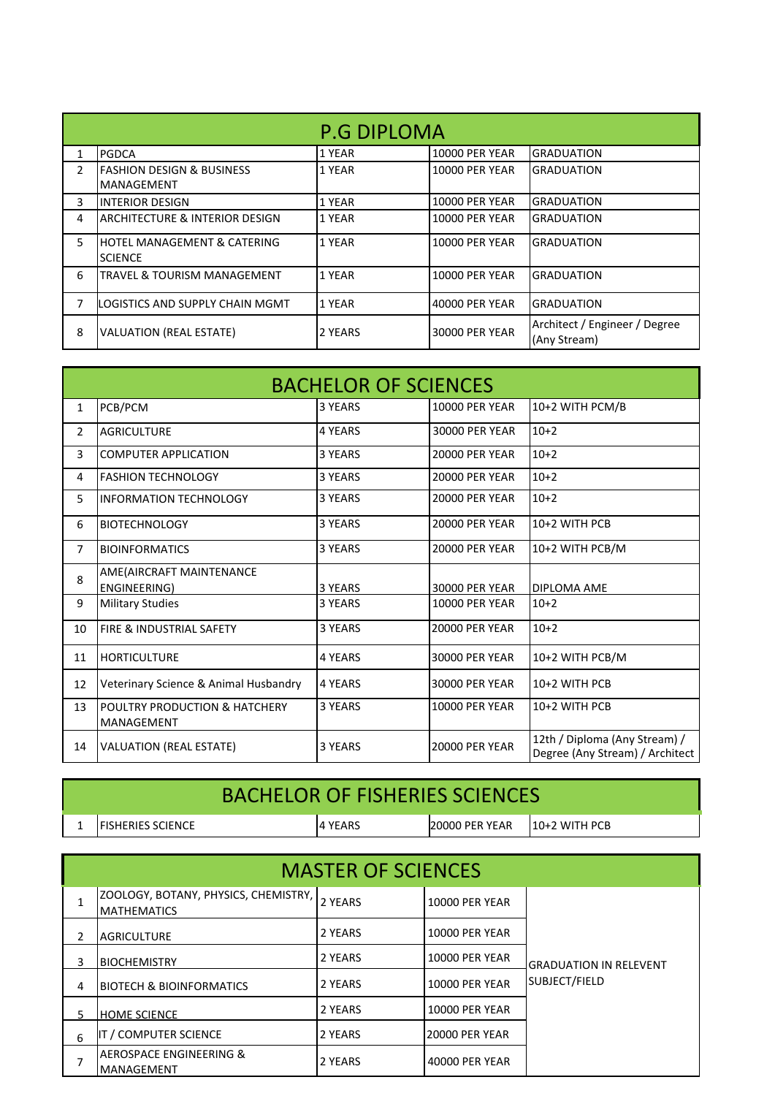|                | <b>P.G DIPLOMA</b>                                        |         |                       |                                               |  |  |
|----------------|-----------------------------------------------------------|---------|-----------------------|-----------------------------------------------|--|--|
| 1              | <b>PGDCA</b>                                              | 1 YEAR  | <b>10000 PER YEAR</b> | <b>GRADUATION</b>                             |  |  |
| $\overline{2}$ | <b>FASHION DESIGN &amp; BUSINESS</b><br><b>MANAGEMENT</b> | 1 YEAR  | <b>10000 PER YEAR</b> | <b>GRADUATION</b>                             |  |  |
| 3              | <b>INTERIOR DESIGN</b>                                    | 1 YEAR  | <b>10000 PER YEAR</b> | <b>GRADUATION</b>                             |  |  |
| 4              | <b>ARCHITECTURE &amp; INTERIOR DESIGN</b>                 | 1 YEAR  | <b>10000 PER YEAR</b> | <b>GRADUATION</b>                             |  |  |
| 5.             | <b>HOTEL MANAGEMENT &amp; CATERING</b><br><b>SCIENCE</b>  | 1 YEAR  | <b>10000 PER YEAR</b> | <b>GRADUATION</b>                             |  |  |
| 6              | <b>TRAVEL &amp; TOURISM MANAGEMENT</b>                    | 1 YEAR  | <b>10000 PER YEAR</b> | <b>GRADUATION</b>                             |  |  |
| 7              | LOGISTICS AND SUPPLY CHAIN MGMT                           | 1 YEAR  | 40000 PER YEAR        | <b>GRADUATION</b>                             |  |  |
| 8              | <b>VALUATION (REAL ESTATE)</b>                            | 2 YEARS | 30000 PER YEAR        | Architect / Engineer / Degree<br>(Any Stream) |  |  |

| <b>BACHELOR OF SCIENCES</b> |                                                        |                |                       |                                                                  |
|-----------------------------|--------------------------------------------------------|----------------|-----------------------|------------------------------------------------------------------|
| $\mathbf{1}$                | PCB/PCM                                                | 3 YEARS        | <b>10000 PER YEAR</b> | 10+2 WITH PCM/B                                                  |
| $\overline{2}$              | <b>AGRICULTURE</b>                                     | <b>4 YEARS</b> | <b>30000 PER YEAR</b> | $10+2$                                                           |
| 3                           | <b>COMPUTER APPLICATION</b>                            | 3 YEARS        | <b>20000 PER YEAR</b> | $10+2$                                                           |
| 4                           | <b>FASHION TECHNOLOGY</b>                              | 3 YEARS        | <b>20000 PER YEAR</b> | $10+2$                                                           |
| 5                           | <b>INFORMATION TECHNOLOGY</b>                          | 3 YEARS        | <b>20000 PER YEAR</b> | $10+2$                                                           |
| 6                           | <b>BIOTECHNOLOGY</b>                                   | 3 YEARS        | <b>20000 PER YEAR</b> | 10+2 WITH PCB                                                    |
| $\overline{7}$              | <b>BIOINFORMATICS</b>                                  | 3 YEARS        | <b>20000 PER YEAR</b> | 10+2 WITH PCB/M                                                  |
| 8                           | AME(AIRCRAFT MAINTENANCE<br>ENGINEERING)               | 3 YEARS        | <b>30000 PER YEAR</b> | DIPLOMA AME                                                      |
| 9                           | <b>Military Studies</b>                                | 3 YEARS        | <b>10000 PER YEAR</b> | $10+2$                                                           |
| 10                          | FIRE & INDUSTRIAL SAFETY                               | 3 YEARS        | <b>20000 PER YEAR</b> | $10+2$                                                           |
| 11                          | <b>HORTICULTURE</b>                                    | <b>4 YEARS</b> | 30000 PER YEAR        | 10+2 WITH PCB/M                                                  |
| 12                          | Veterinary Science & Animal Husbandry                  | <b>4 YEARS</b> | 30000 PER YEAR        | 10+2 WITH PCB                                                    |
| 13                          | <b>POULTRY PRODUCTION &amp; HATCHERY</b><br>MANAGEMENT | 3 YEARS        | <b>10000 PER YEAR</b> | 10+2 WITH PCB                                                    |
| 14                          | <b>VALUATION (REAL ESTATE)</b>                         | 3 YEARS        | <b>20000 PER YEAR</b> | 12th / Diploma (Any Stream) /<br>Degree (Any Stream) / Architect |

| <b>BACHELOR OF FISHERIES SCIENCES</b> |                           |  |                 |                |                  |
|---------------------------------------|---------------------------|--|-----------------|----------------|------------------|
|                                       | <b>IFISHERIES SCIENCE</b> |  | <b>14 YEARS</b> | 20000 PER YEAR | $110+2$ WITH PCB |

|    | <b>MASTER OF SCIENCES</b>                                  |         |                       |                               |  |
|----|------------------------------------------------------------|---------|-----------------------|-------------------------------|--|
|    | ZOOLOGY, BOTANY, PHYSICS, CHEMISTRY,<br><b>MATHEMATICS</b> | 2 YEARS | <b>10000 PER YEAR</b> |                               |  |
|    | <b>AGRICULTURE</b>                                         | 2 YEARS | <b>10000 PER YEAR</b> |                               |  |
| 3  | <b>BIOCHEMISTRY</b>                                        | 2 YEARS | <b>10000 PER YEAR</b> | <b>GRADUATION IN RELEVENT</b> |  |
| 4  | <b>BIOTECH &amp; BIOINFORMATICS</b>                        | 2 YEARS | <b>10000 PER YEAR</b> | SUBJECT/FIELD                 |  |
| 5. | <b>HOME SCIENCE</b>                                        | 2 YEARS | <b>10000 PER YEAR</b> |                               |  |
| 6  | <b>IT / COMPUTER SCIENCE</b>                               | 2 YEARS | <b>20000 PER YEAR</b> |                               |  |
| 7  | <b>AEROSPACE ENGINEERING &amp;</b><br>IMANAGEMENT          | 2 YEARS | 40000 PER YEAR        |                               |  |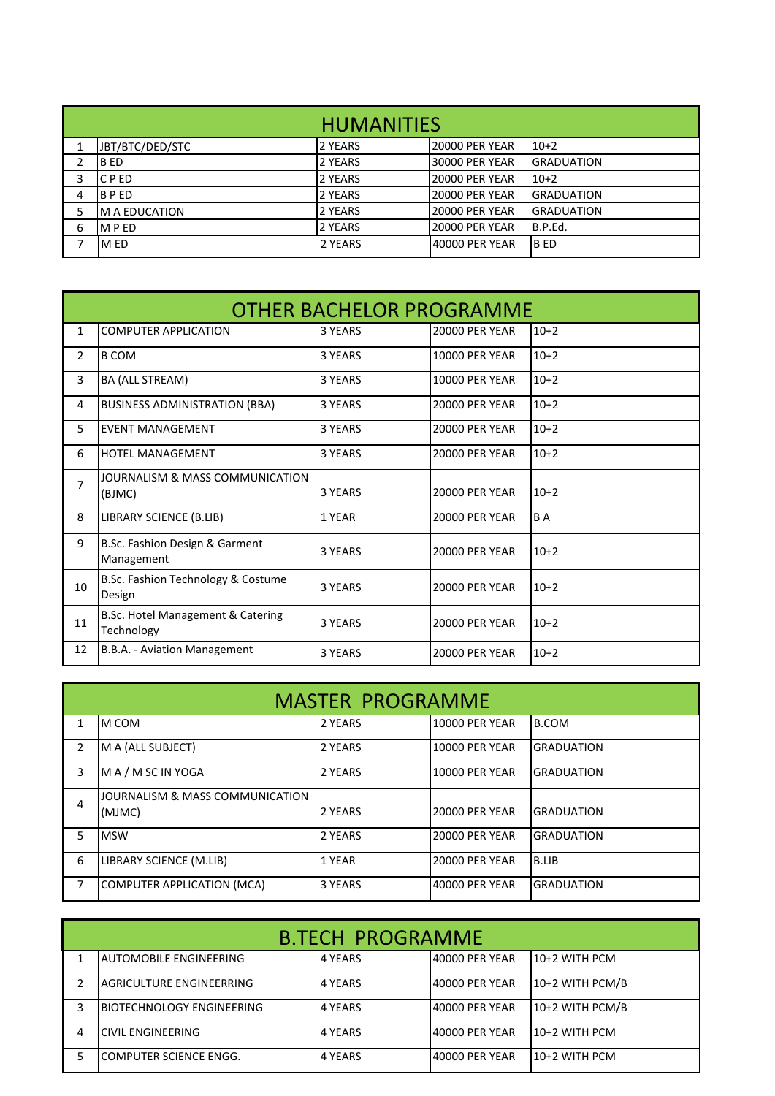| <b>HUMANITIES</b> |                  |         |                       |                   |
|-------------------|------------------|---------|-----------------------|-------------------|
|                   | JBT/BTC/DED/STC  | 2 YEARS | <b>20000 PER YEAR</b> | $10+2$            |
| 2                 | IB ED            | 2 YEARS | <b>30000 PER YEAR</b> | <b>GRADUATION</b> |
| 3                 | C P ED           | 2 YEARS | <b>20000 PER YEAR</b> | $10+2$            |
| 4                 | <b>BPED</b>      | 2 YEARS | <b>20000 PER YEAR</b> | IGRADUATION       |
|                   | M A EDUCATION    | 2 YEARS | <b>20000 PER YEAR</b> | <b>GRADUATION</b> |
| 6                 | MP <sub>ED</sub> | 2 YEARS | <b>20000 PER YEAR</b> | B.P.Ed.           |
| 7                 | <b>MED</b>       | 2 YEARS | 40000 PER YEAR        | <b>B</b> ED       |

|                | <b>OTHER BACHELOR PROGRAMME</b>                 |         |                       |        |  |
|----------------|-------------------------------------------------|---------|-----------------------|--------|--|
| 1              | <b>COMPUTER APPLICATION</b>                     | 3 YEARS | <b>20000 PER YEAR</b> | $10+2$ |  |
| $\overline{2}$ | <b>B COM</b>                                    | 3 YEARS | <b>10000 PER YEAR</b> | $10+2$ |  |
| 3              | BA (ALL STREAM)                                 | 3 YEARS | <b>10000 PER YEAR</b> | $10+2$ |  |
| 4              | <b>BUSINESS ADMINISTRATION (BBA)</b>            | 3 YEARS | <b>20000 PER YEAR</b> | $10+2$ |  |
| 5.             | <b>EVENT MANAGEMENT</b>                         | 3 YEARS | <b>20000 PER YEAR</b> | $10+2$ |  |
| 6              | <b>HOTEL MANAGEMENT</b>                         | 3 YEARS | <b>20000 PER YEAR</b> | $10+2$ |  |
| $\overline{7}$ | JOURNALISM & MASS COMMUNICATION<br>(BJMC)       | 3 YFARS | <b>20000 PER YEAR</b> | $10+2$ |  |
| 8              | LIBRARY SCIENCE (B.LIB)                         | 1 YEAR  | <b>20000 PER YEAR</b> | BA     |  |
| 9              | B.Sc. Fashion Design & Garment<br>Management    | 3 YEARS | <b>20000 PER YEAR</b> | $10+2$ |  |
| 10             | B.Sc. Fashion Technology & Costume<br>Design    | 3 YEARS | <b>20000 PER YEAR</b> | $10+2$ |  |
| 11             | B.Sc. Hotel Management & Catering<br>Technology | 3 YEARS | <b>20000 PER YEAR</b> | $10+2$ |  |
| 12             | B.B.A. - Aviation Management                    | 3 YEARS | <b>20000 PER YEAR</b> | $10+2$ |  |

| <b>MASTER PROGRAMME</b> |                                           |                |                       |                   |
|-------------------------|-------------------------------------------|----------------|-----------------------|-------------------|
|                         | IM COM                                    | 2 YEARS        | <b>10000 PER YEAR</b> | <b>B.COM</b>      |
| 2                       | M A (ALL SUBJECT)                         | 2 YEARS        | <b>10000 PER YEAR</b> | <b>GRADUATION</b> |
| 3                       | MA/MSCINYOGA                              | 2 YEARS        | <b>10000 PER YEAR</b> | <b>GRADUATION</b> |
| 4                       | JOURNALISM & MASS COMMUNICATION<br>(MJMC) | <b>2 YEARS</b> | <b>20000 PER YEAR</b> | <b>GRADUATION</b> |
| 5.                      | <b>MSW</b>                                | 2 YEARS        | <b>20000 PER YEAR</b> | <b>GRADUATION</b> |
| 6                       | LIBRARY SCIENCE (M.LIB)                   | 1 YEAR         | <b>20000 PER YEAR</b> | <b>B.LIB</b>      |
| 7                       | <b>COMPUTER APPLICATION (MCA)</b>         | 3 YEARS        | 40000 PER YEAR        | <b>GRADUATION</b> |

| <b>B.TECH PROGRAMME</b> |                               |          |                 |                 |
|-------------------------|-------------------------------|----------|-----------------|-----------------|
|                         | <b>AUTOMOBILE ENGINEERING</b> | 4 YEARS  | 140000 PER YEAR | 10+2 WITH PCM   |
|                         | LAGRICULTURE ENGINEERRING     | l4 YEARS | 40000 PER YEAR  | 10+2 WITH PCM/B |
| 3                       | IBIOTECHNOLOGY ENGINEERING    | l4 YEARS | 40000 PER YEAR  | 10+2 WITH PCM/B |
| 4                       | <b>CIVIL ENGINEERING</b>      | 4 YEARS  | 140000 PER YEAR | 10+2 WITH PCM   |
|                         | COMPUTER SCIENCE ENGG.        | l4 YEARS | 140000 PER YEAR | 110+2 WITH PCM  |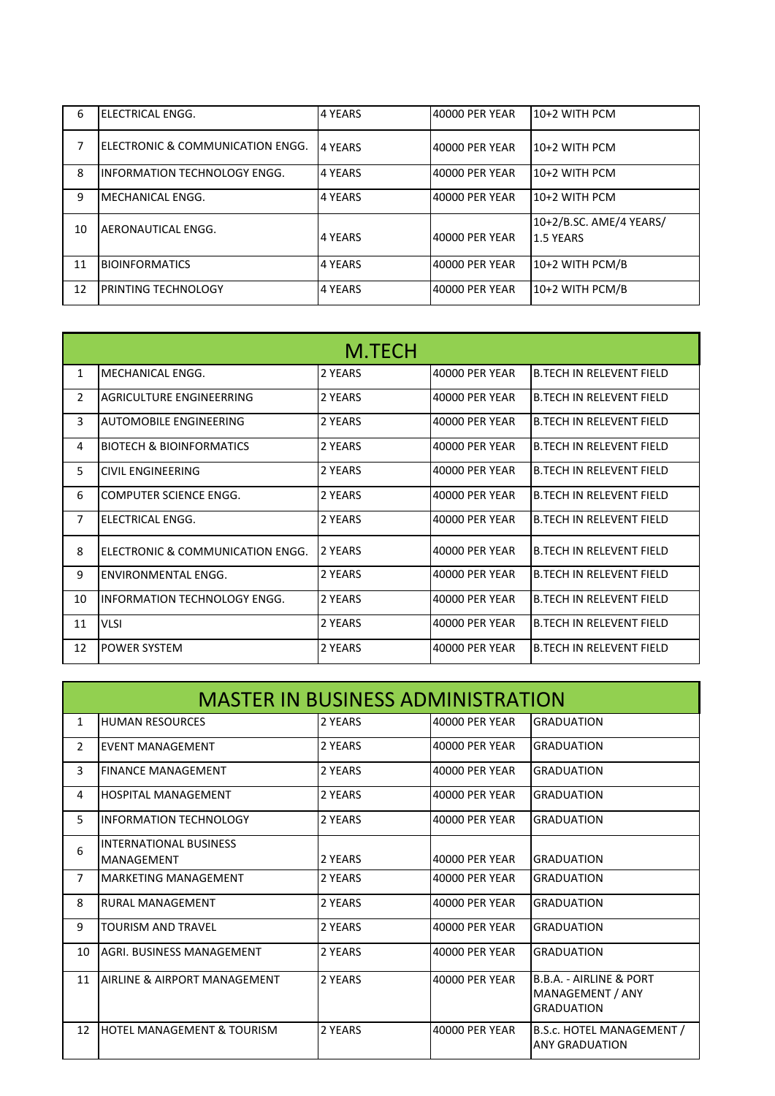| 6  | <b>ELECTRICAL ENGG.</b>             | <b>4 YEARS</b> | 40000 PER YEAR | 10+2 WITH PCM                        |
|----|-------------------------------------|----------------|----------------|--------------------------------------|
|    | ELECTRONIC & COMMUNICATION ENGG.    | 4 YEARS        | 40000 PER YEAR | 10+2 WITH PCM                        |
| 8  | <b>INFORMATION TECHNOLOGY ENGG.</b> | 4 YEARS        | 40000 PER YEAR | 10+2 WITH PCM                        |
| 9  | <b>MECHANICAL ENGG.</b>             | 4 YEARS        | 40000 PER YEAR | 10+2 WITH PCM                        |
| 10 | AERONAUTICAL ENGG.                  | l4 YEARS       | 40000 PER YEAR | 10+2/B.SC. AME/4 YEARS/<br>1.5 YEARS |
| 11 | <b>BIOINFORMATICS</b>               | 4 YEARS        | 40000 PER YEAR | 10+2 WITH PCM/B                      |
| 12 | <b>PRINTING TECHNOLOGY</b>          | 4 YEARS        | 40000 PER YEAR | 10+2 WITH PCM/B                      |

| M.TECH         |                                     |         |                |                                 |
|----------------|-------------------------------------|---------|----------------|---------------------------------|
| $\mathbf{1}$   | MECHANICAL ENGG.                    | 2 YEARS | 40000 PFR YFAR | <b>B.TECH IN RELEVENT FIELD</b> |
| $\overline{2}$ | AGRICULTURE ENGINEERRING            | 2 YEARS | 40000 PER YEAR | <b>B.TECH IN RELEVENT FIELD</b> |
| 3              | <b>AUTOMOBILE ENGINEERING</b>       | 2 YEARS | 40000 PER YEAR | <b>B.TECH IN RELEVENT FIELD</b> |
| 4              | <b>BIOTECH &amp; BIOINFORMATICS</b> | 2 YFARS | 40000 PFR YFAR | <b>B.TECH IN RELEVENT FIFLD</b> |
| 5              | CIVIL ENGINEERING                   | 2 YEARS | 40000 PFR YFAR | <b>B.TECH IN RELEVENT FIFLD</b> |
| 6              | COMPUTER SCIENCE ENGG.              | 2 YEARS | 40000 PER YEAR | <b>B.TECH IN RELEVENT FIELD</b> |
| $\overline{7}$ | ELECTRICAL ENGG.                    | 2 YEARS | 40000 PER YEAR | <b>B.TECH IN RELEVENT FIELD</b> |
| 8              | ELECTRONIC & COMMUNICATION ENGG.    | 2 YFARS | 40000 PFR YFAR | <b>B.TECH IN RELEVENT FIFLD</b> |
| 9              | ENVIRONMENTAL ENGG.                 | 2 YEARS | 40000 PER YEAR | <b>B.TECH IN RELEVENT FIELD</b> |
| 10             | INFORMATION TFCHNOLOGY FNGG.        | 2 YEARS | 40000 PER YEAR | <b>B.TECH IN RELEVENT FIELD</b> |
| 11             | <b>VLSI</b>                         | 2 YEARS | 40000 PER YEAR | <b>B.TECH IN RELEVENT FIELD</b> |
| 12             | <u>IPOWER SYSTEM</u>                | 2 YEARS | 40000 PFR YFAR | <b>B.TECH IN RELEVENT FIFLD</b> |

|                | <b>MASTER IN BUSINESS ADMINISTRATION</b> |         |                       |                                                                             |  |  |
|----------------|------------------------------------------|---------|-----------------------|-----------------------------------------------------------------------------|--|--|
| $\mathbf{1}$   | <b>HUMAN RESOURCES</b>                   | 2 YEARS | <b>40000 PER YEAR</b> | <b>GRADUATION</b>                                                           |  |  |
| $\overline{2}$ | <b>FVFNT MANAGFMFNT</b>                  | 2 YEARS | 40000 PFR YFAR        | <b>GRADUATION</b>                                                           |  |  |
| 3              | <b>FINANCE MANAGEMENT</b>                | 2 YEARS | 40000 PER YEAR        | <b>GRADUATION</b>                                                           |  |  |
| 4              | <b>HOSPITAL MANAGEMENT</b>               | 2 YEARS | 40000 PER YEAR        | <b>GRADUATION</b>                                                           |  |  |
| 5              | <b>INFORMATION TECHNOLOGY</b>            | 2 YEARS | 40000 PER YEAR        | <b>GRADUATION</b>                                                           |  |  |
| 6              | <b>INTERNATIONAL BUSINESS</b>            |         |                       |                                                                             |  |  |
|                | <b>MANAGEMENT</b>                        | 2 YEARS | <b>40000 PER YEAR</b> | <b>GRADUATION</b>                                                           |  |  |
| 7              | <b>MARKETING MANAGEMENT</b>              | 2 YEARS | 40000 PER YEAR        | <b>GRADUATION</b>                                                           |  |  |
| 8              | <b>RURAL MANAGEMENT</b>                  | 2 YEARS | 40000 PER YEAR        | <b>GRADUATION</b>                                                           |  |  |
| 9              | <b>TOURISM AND TRAVFL</b>                | 2 YEARS | 40000 PER YEAR        | <b>GRADUATION</b>                                                           |  |  |
| 10             | <b>AGRI. BUSINESS MANAGEMENT</b>         | 2 YEARS | <b>40000 PER YEAR</b> | <b>GRADUATION</b>                                                           |  |  |
| 11             | AIRLINE & AIRPORT MANAGEMENT             | 2 YFARS | 40000 PFR YFAR        | <b>B.B.A. - AIRLINE &amp; PORT</b><br>MANAGEMENT / ANY<br><b>GRADUATION</b> |  |  |
| 12             | HOTEL MANAGEMENT & TOURISM               | 2 YEARS | 40000 PER YEAR        | B.S.c. HOTEL MANAGEMENT /<br><b>ANY GRADUATION</b>                          |  |  |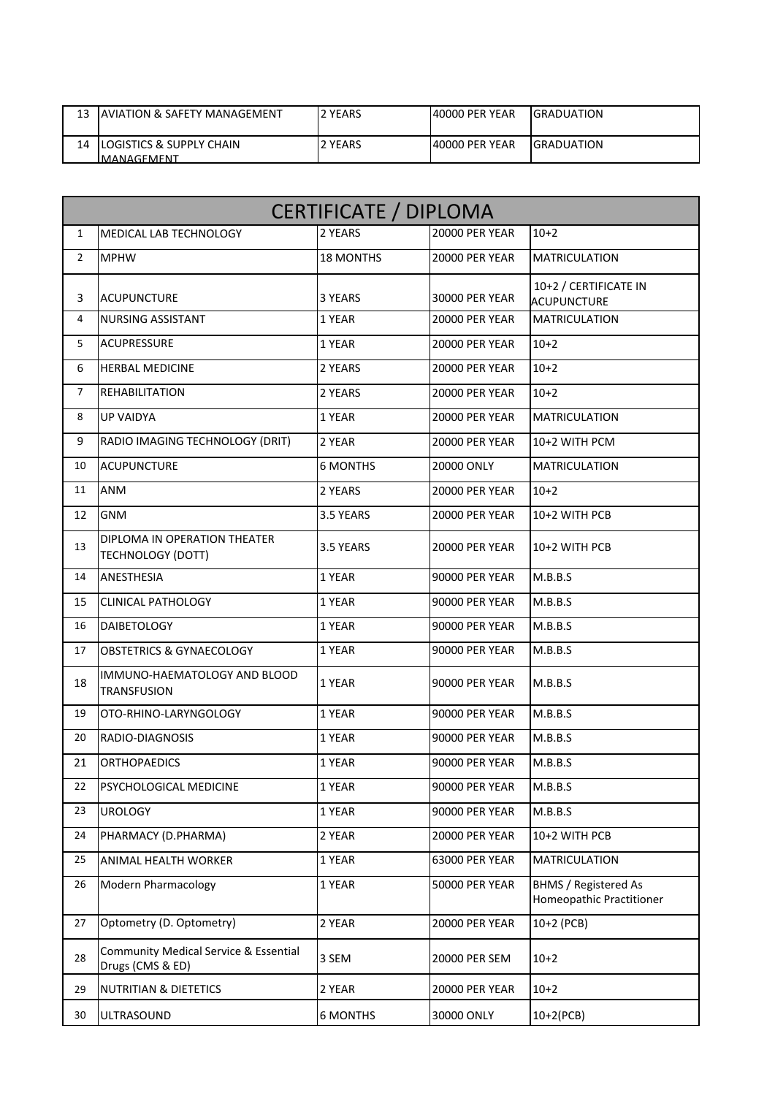| 13 | LAVIATION & SAFETY MANAGEMENT                       | 2 YEARS  | 40000 PER YEAR | <b>IGRADUATION</b> |
|----|-----------------------------------------------------|----------|----------------|--------------------|
| 14 | <b>ILOGISTICS &amp; SUPPLY CHAIN</b><br>IMANAGEMENT | I2 YEARS | 40000 PER YEAR | <b>IGRADUATION</b> |

|                | <b>CERTIFICATE / DIPLOMA</b>                                         |                  |                       |                                                         |  |
|----------------|----------------------------------------------------------------------|------------------|-----------------------|---------------------------------------------------------|--|
| $\mathbf{1}$   | <b>MEDICAL LAB TECHNOLOGY</b>                                        | 2 YEARS          | <b>20000 PER YEAR</b> | $10+2$                                                  |  |
| $\overline{2}$ | <b>MPHW</b>                                                          | <b>18 MONTHS</b> | <b>20000 PER YEAR</b> | <b>MATRICULATION</b>                                    |  |
| 3              | <b>ACUPUNCTURE</b>                                                   | 3 YEARS          | 30000 PER YEAR        | 10+2 / CERTIFICATE IN<br><b>ACUPUNCTURE</b>             |  |
| $\overline{4}$ | <b>NURSING ASSISTANT</b>                                             | 1 YEAR           | <b>20000 PER YEAR</b> | <b>MATRICULATION</b>                                    |  |
| 5              | <b>ACUPRESSURE</b>                                                   | 1 YEAR           | <b>20000 PER YEAR</b> | $10+2$                                                  |  |
| 6              | <b>HERBAL MEDICINE</b>                                               | 2 YEARS          | <b>20000 PER YEAR</b> | $10+2$                                                  |  |
| $\overline{7}$ | <b>REHABILITATION</b>                                                | 2 YEARS          | <b>20000 PER YEAR</b> | $10+2$                                                  |  |
| 8              | <b>UP VAIDYA</b>                                                     | 1 YEAR           | <b>20000 PER YEAR</b> | <b>MATRICULATION</b>                                    |  |
| 9              | RADIO IMAGING TECHNOLOGY (DRIT)                                      | 2 YEAR           | <b>20000 PER YEAR</b> | 10+2 WITH PCM                                           |  |
| 10             | <b>ACUPUNCTURE</b>                                                   | <b>6 MONTHS</b>  | 20000 ONLY            | <b>MATRICULATION</b>                                    |  |
| 11             | <b>ANM</b>                                                           | 2 YEARS          | <b>20000 PER YEAR</b> | $10+2$                                                  |  |
| 12             | <b>GNM</b>                                                           | 3.5 YEARS        | <b>20000 PER YEAR</b> | 10+2 WITH PCB                                           |  |
| 13             | DIPLOMA IN OPERATION THEATER<br><b>TECHNOLOGY (DOTT)</b>             | 3.5 YEARS        | <b>20000 PER YEAR</b> | 10+2 WITH PCB                                           |  |
| 14             | ANESTHESIA                                                           | 1 YEAR           | <b>90000 PER YEAR</b> | M.B.B.S                                                 |  |
| 15             | <b>CLINICAL PATHOLOGY</b>                                            | 1 YEAR           | <b>90000 PER YEAR</b> | M.B.B.S                                                 |  |
| 16             | <b>DAIBETOLOGY</b>                                                   | 1 YEAR           | <b>90000 PER YEAR</b> | M.B.B.S                                                 |  |
| 17             | <b>OBSTETRICS &amp; GYNAECOLOGY</b>                                  | 1 YEAR           | <b>90000 PER YEAR</b> | M.B.B.S                                                 |  |
| 18             | IMMUNO-HAEMATOLOGY AND BLOOD<br><b>TRANSFUSION</b>                   | 1 YEAR           | <b>90000 PER YEAR</b> | M.B.B.S                                                 |  |
| 19             | OTO-RHINO-LARYNGOLOGY                                                | 1 YEAR           | <b>90000 PER YEAR</b> | M.B.B.S                                                 |  |
| 20             | RADIO-DIAGNOSIS                                                      | 1 YEAR           | <b>90000 PER YEAR</b> | M.B.B.S                                                 |  |
| 21             | <b>ORTHOPAEDICS</b>                                                  | 1 YEAR           | <b>90000 PER YEAR</b> | M.B.B.S                                                 |  |
| 22             | PSYCHOLOGICAL MEDICINE                                               | 1 YEAR           | <b>90000 PER YEAR</b> | M.B.B.S                                                 |  |
| 23             | <b>UROLOGY</b>                                                       | 1 YEAR           | 90000 PER YEAR        | M.B.B.S                                                 |  |
| 24             | PHARMACY (D.PHARMA)                                                  | 2 YEAR           | <b>20000 PER YEAR</b> | 10+2 WITH PCB                                           |  |
| 25             | ANIMAL HEALTH WORKER                                                 | 1 YEAR           | 63000 PER YEAR        | <b>MATRICULATION</b>                                    |  |
| 26             | <b>Modern Pharmacology</b>                                           | 1 YEAR           | <b>50000 PER YEAR</b> | <b>BHMS / Registered As</b><br>Homeopathic Practitioner |  |
| 27             | Optometry (D. Optometry)                                             | 2 YEAR           | <b>20000 PER YEAR</b> | 10+2 (PCB)                                              |  |
| 28             | <b>Community Medical Service &amp; Essential</b><br>Drugs (CMS & ED) | 3 SEM            | 20000 PER SEM         | $10+2$                                                  |  |
| 29             | <b>NUTRITIAN &amp; DIETETICS</b>                                     | 2 YEAR           | <b>20000 PER YEAR</b> | $10+2$                                                  |  |
| 30             | ULTRASOUND                                                           | <b>6 MONTHS</b>  | 30000 ONLY            | $10+2(PCB)$                                             |  |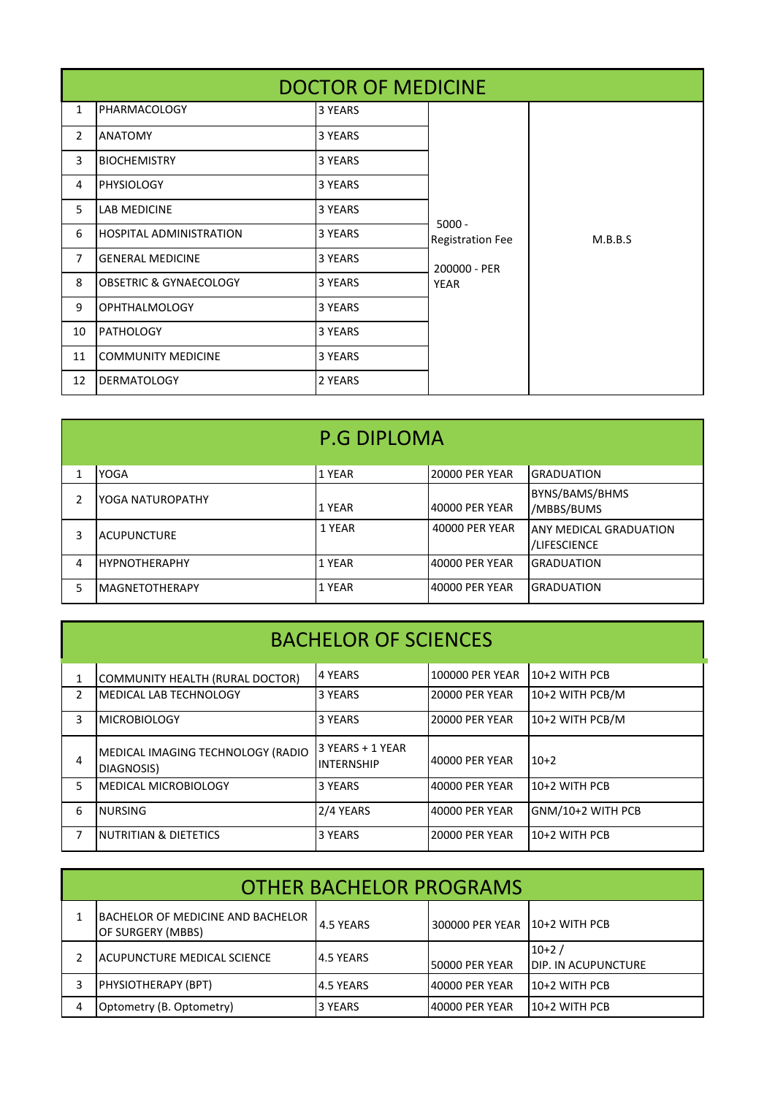|                | <b>DOCTOR OF MEDICINE</b>         |         |                                     |         |  |
|----------------|-----------------------------------|---------|-------------------------------------|---------|--|
| $\mathbf{1}$   | PHARMACOLOGY                      | 3 YEARS |                                     |         |  |
| $\overline{2}$ | <b>ANATOMY</b>                    | 3 YEARS |                                     |         |  |
| 3              | <b>BIOCHEMISTRY</b>               | 3 YEARS |                                     |         |  |
| 4              | <b>PHYSIOLOGY</b>                 | 3 YEARS |                                     |         |  |
| 5 <sup>1</sup> | <b>LAB MEDICINE</b>               | 3 YEARS |                                     |         |  |
| 6              | <b>HOSPITAL ADMINISTRATION</b>    | 3 YEARS | $5000 -$<br><b>Registration Fee</b> | M.B.B.S |  |
| $\overline{7}$ | <b>GENERAL MEDICINE</b>           | 3 YEARS | 200000 - PER                        |         |  |
| 8              | <b>OBSETRIC &amp; GYNAECOLOGY</b> | 3 YEARS | <b>YEAR</b>                         |         |  |
| 9              | <b>OPHTHALMOLOGY</b>              | 3 YEARS |                                     |         |  |
| 10             | PATHOLOGY                         | 3 YEARS |                                     |         |  |
| 11             | <b>COMMUNITY MEDICINE</b>         | 3 YEARS |                                     |         |  |
| 12             | <b>DERMATOLOGY</b>                | 2 YEARS |                                     |         |  |

|    |                        | <b>P.G DIPLOMA</b> |                       |                                               |  |
|----|------------------------|--------------------|-----------------------|-----------------------------------------------|--|
|    | YOGA                   | 1 YEAR             | <b>20000 PER YEAR</b> | IGRADUATION                                   |  |
|    | YOGA NATUROPATHY       | 1 YEAR             | 40000 PER YEAR        | <b>BYNS/BAMS/BHMS</b><br>/MBBS/BUMS           |  |
| 3  | <b>ACUPUNCTURE</b>     | 1 YEAR             | 40000 PER YEAR        | <b>ANY MEDICAL GRADUATION</b><br>/LIFESCIENCE |  |
| 4  | <b>IHYPNOTHERAPHY</b>  | 1 YEAR             | 40000 PER YEAR        | <b>GRADUATION</b>                             |  |
| 5. | <b>IMAGNETOTHERAPY</b> | 1 YEAR             | 40000 PER YEAR        | IGRADUATION                                   |  |

|  | <b>BACHELOR OF SCIENCES</b> |
|--|-----------------------------|
|  |                             |

|                | COMMUNITY HEALTH (RURAL DOCTOR)                 | 4 YEARS                               | 100000 PER YEAR       | 10+2 WITH PCB     |
|----------------|-------------------------------------------------|---------------------------------------|-----------------------|-------------------|
| $\overline{2}$ | MEDICAL LAB TECHNOLOGY                          | 3 YEARS                               | <b>20000 PER YEAR</b> | 10+2 WITH PCB/M   |
| 3              | <b>MICROBIOLOGY</b>                             | 3 YEARS                               | <b>20000 PER YEAR</b> | 10+2 WITH PCB/M   |
| 4              | MEDICAL IMAGING TECHNOLOGY (RADIO<br>DIAGNOSIS) | 3 YEARS + 1 YEAR<br><b>INTERNSHIP</b> | 40000 PER YEAR        | $10+2$            |
| 5              | <b>MEDICAL MICROBIOLOGY</b>                     | 3 YEARS                               | 40000 PER YEAR        | 10+2 WITH PCB     |
| 6              | <b>NURSING</b>                                  | 2/4 YEARS                             | 40000 PER YEAR        | GNM/10+2 WITH PCB |
| 7              | NUTRITIAN & DIETETICS                           | 3 YEARS                               | <b>20000 PER YEAR</b> | 10+2 WITH PCB     |

| OTHER BACHELOR PROGRAMS |                                                               |           |                       |                                 |
|-------------------------|---------------------------------------------------------------|-----------|-----------------------|---------------------------------|
|                         | <b>BACHELOR OF MEDICINE AND BACHELOR</b><br>OF SURGERY (MBBS) | 4.5 YEARS | 300000 PER YEAR       | 10+2 WITH PCB                   |
|                         | IACUPUNCTURE MEDICAL SCIENCE                                  | 4.5 YEARS | <b>50000 PER YEAR</b> | $10+2/$<br>IDIP. IN ACUPUNCTURE |
| 3                       | <b>PHYSIOTHERAPY (BPT)</b>                                    | 4.5 YEARS | 40000 PER YEAR        | 10+2 WITH PCB                   |
| 4                       | Optometry (B. Optometry)                                      | 3 YEARS   | 140000 PER YEAR       | 10+2 WITH PCB                   |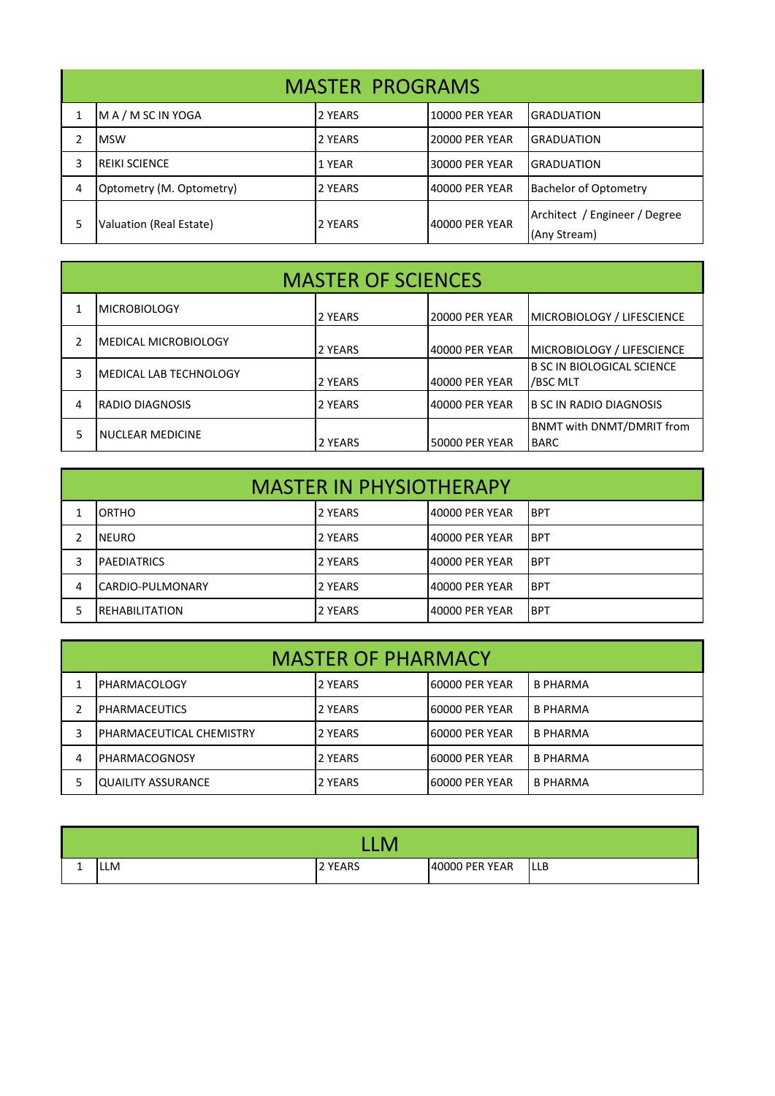| <b>MASTER PROGRAMS</b> |                          |         |                 |                                               |  |
|------------------------|--------------------------|---------|-----------------|-----------------------------------------------|--|
|                        | MA/MSCINYOGA             | 2 YEARS | 10000 PER YEAR  | <b>GRADUATION</b>                             |  |
|                        | <b>IMSW</b>              | 2 YEARS | 20000 PER YEAR  | IGRADUATION                                   |  |
| 3                      | <b>IREIKI SCIENCE</b>    | 1 YEAR  | I30000 PER YEAR | IGRADUATION                                   |  |
| 4                      | Optometry (M. Optometry) | 2 YEARS | 40000 PER YEAR  | <b>Bachelor of Optometry</b>                  |  |
|                        | Valuation (Real Estate)  | 2 YEARS | 40000 PER YEAR  | Architect / Engineer / Degree<br>(Any Stream) |  |

| <b>MASTER OF SCIENCES</b> |                               |         |                       |                                                 |
|---------------------------|-------------------------------|---------|-----------------------|-------------------------------------------------|
|                           | <b>MICROBIOLOGY</b>           | 2 YEARS | <b>20000 PER YEAR</b> | MICROBIOLOGY / LIFESCIENCE                      |
|                           | <b>IMEDICAL MICROBIOLOGY</b>  | 2 YEARS | 40000 PER YEAR        | MICROBIOLOGY / LIFESCIENCE                      |
| 3                         | <b>MEDICAL LAB TECHNOLOGY</b> | 2 YEARS | 40000 PER YEAR        | B SC IN BIOLOGICAL SCIENCE<br>/BSC MLT          |
| 4                         | <b>RADIO DIAGNOSIS</b>        | 2 YEARS | 40000 PER YEAR        | <b>B SC IN RADIO DIAGNOSIS</b>                  |
| 5                         | <b>NUCLEAR MEDICINE</b>       | 2 YEARS | <b>50000 PER YEAR</b> | <b>BNMT with DNMT/DMRIT from</b><br><b>BARC</b> |

| <b>MASTER IN PHYSIOTHERAPY</b> |                         |                |                |             |
|--------------------------------|-------------------------|----------------|----------------|-------------|
|                                | <b>IORTHO</b>           | 2 YEARS        | 40000 PER YEAR | IBPT        |
|                                | NEURO                   | 2 YEARS        | 40000 PER YEAR | <b>IBPT</b> |
| 3                              | <b>IPAEDIATRICS</b>     | <b>2 YEARS</b> | 40000 PER YEAR | <b>IBPT</b> |
| 4                              | <b>CARDIO-PULMONARY</b> | 2 YEARS        | 40000 PER YEAR | <b>BPT</b>  |
|                                | IREHABILITATION         | <b>2 YEARS</b> | 40000 PER YEAR | IBPT        |

| <b>MASTER OF PHARMACY</b> |                           |         |                 |                 |  |
|---------------------------|---------------------------|---------|-----------------|-----------------|--|
|                           | <b>IPHARMACOLOGY</b>      | 2 YEARS | 160000 PER YEAR | <b>B PHARMA</b> |  |
|                           | IPHARMACEUTICS            | 2 YEARS | 160000 PER YEAR | <b>B PHARMA</b> |  |
|                           | IPHARMACEUTICAL CHEMISTRY | 2 YEARS | 160000 PER YEAR | <b>B PHARMA</b> |  |
| 4                         | IPHARMACOGNOSY            | 2 YEARS | 160000 PER YEAR | <b>B PHARMA</b> |  |
|                           | <b>QUAILITY ASSURANCE</b> | 2 YEARS | 160000 PER YEAR | <b>B PHARMA</b> |  |

| -- | <b>LLM</b> | 2 YEARS | 40000 PER YEAR | <b>LLB</b> |
|----|------------|---------|----------------|------------|